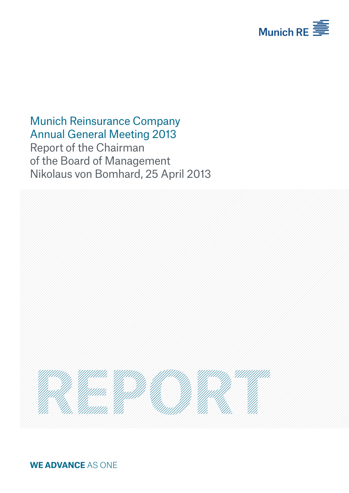

# Munich Reinsurance Company Annual General Meeting 2013

Report of the Chairman of the Board of Management Nikolaus von Bomhard, 25 April 2013



**WE ADVANCE** AS ONE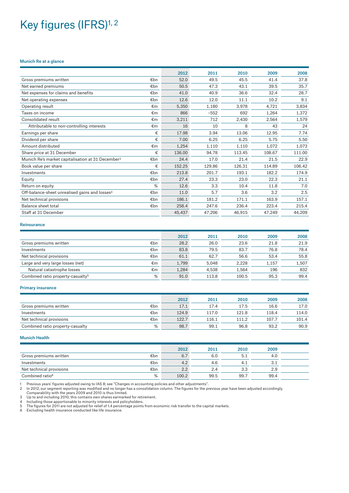# Key figures (IFRS)<sup>1, 2</sup>

#### Munich Re at a glance

| 2012   | 2011                                                                                                                      | 2010   | 2009   | 2008   |
|--------|---------------------------------------------------------------------------------------------------------------------------|--------|--------|--------|
| 52.0   | 49.5                                                                                                                      | 45.5   | 41.4   | 37.8   |
| 50.5   | 47.3                                                                                                                      | 43.1   | 39.5   | 35.7   |
| 41.0   | 40.9                                                                                                                      | 36.6   | 32.4   | 28.7   |
| 12.6   | 12.0                                                                                                                      | 11.1   | 10.2   | 9.1    |
| 5,350  | 1,180                                                                                                                     | 3,978  | 4,721  | 3,834  |
| 866    | $-552$                                                                                                                    | 692    | 1,264  | 1,372  |
| 3,211  | 712                                                                                                                       | 2,430  | 2,564  | 1,579  |
| 16     | 10                                                                                                                        | 8      | 43     | 24     |
| 17.98  | 3.94                                                                                                                      | 13.06  | 12.95  | 7.74   |
| 7.00   | 6.25                                                                                                                      | 6.25   | 5.75   | 5.50   |
| 1,254  | 1,110                                                                                                                     | 1,110  | 1,072  | 1,073  |
| 136.00 | 94.78                                                                                                                     | 113.45 | 108.67 | 111.00 |
| 24.4   | 17.0                                                                                                                      | 21.4   | 21.5   | 22.9   |
| 152.25 | 129.86                                                                                                                    | 126.31 | 114.89 | 106.42 |
| 213.8  | 201.7                                                                                                                     | 193.1  | 182.2  | 174.9  |
| 27.4   | 23.3                                                                                                                      | 23.0   | 22.3   | 21.1   |
| 12.6   | 3.3                                                                                                                       | 10.4   | 11.8   | 7.0    |
| 11.0   | 5.7                                                                                                                       | 3.6    | 3.2    | 2.5    |
| 186.1  | 181.2                                                                                                                     | 171.1  | 163.9  | 157.1  |
| 258.4  | 247.6                                                                                                                     | 236.4  | 223.4  | 215.4  |
| 45,437 | 47.206                                                                                                                    | 46.915 | 47.249 | 44,209 |
|        | €bn<br>€bn<br>€bn<br>€bn<br>€m<br>€m<br>€m<br>€m<br>€<br>€<br>€m<br>€<br>€bn<br>€<br>€bn<br>€bn<br>%<br>€bn<br>€bn<br>€bn |        |        |        |

#### **Reinsurance**

|                                                    | 2012  | 2011  | 2010  | 2009  | 2008  |
|----------------------------------------------------|-------|-------|-------|-------|-------|
| €bn<br>Gross premiums written                      | 28.2  | 26.0  | 23.6  | 21.8  | 21.9  |
| €bn<br>Investments                                 | 83.8  | 79.5  | 83.7  | 76.8  | 78.4  |
| €bn<br>Net technical provisions                    | 61.1  | 62.7  | 56.6  | 53.4  | 55.8  |
| €m<br>Large and very large losses (net)            | 1,799 | 5.048 | 2.228 | 1.157 | 1,507 |
| €m<br>Natural catastrophe losses                   | 1,284 | 4.538 | 1.564 | 196   | 832   |
| %<br>Combined ratio property-casualty <sup>5</sup> | 91.0  | 113.8 | 100.5 | 95.3  | 99.4  |

#### Primary insurance

|                                  |     | 2012  | 2011  | 2010  | 2009  | 2008  |
|----------------------------------|-----|-------|-------|-------|-------|-------|
| Gross premiums written           | €bn | 17.1  | 17.4  | 17.5  | 16.6  | 17.0  |
| Investments                      | €bn | 124.9 | 117.0 | 121.8 | 118.4 | 114.0 |
| Net technical provisions         | €bn | 122.7 | 116.1 | 111.2 | 107.7 | 101.4 |
| Combined ratio property-casualty | %   | 98.7  | 99.1  | 96.8  | 93.2  | 90.9  |

#### Munich Health

|                             |     | 2012  | 2011 | 2010 | 2009 |  |
|-----------------------------|-----|-------|------|------|------|--|
| Gross premiums written      | €bn | 6.7   | 6.0  |      | 4.0  |  |
| Investments                 | €bn | 4.2   | 4.6  |      |      |  |
| Net technical provisions    | €bn | 2.2   | 2.4  | 3.3  | 2.9  |  |
| Combined ratio <sup>6</sup> | %   | 100.2 | 99.5 | 99.7 | 99.4 |  |

1 Previous years' figures adjusted owing to IAS 8; see "Changes in accounting policies and other adjustments".<br>2 In 2012, our segment reporting was modified and no longer has a consolidation column. The figures for

3 Up to and including 2010, this contains own shares earmarked for retirement.<br>4 Including those apportionable to minority interests and policyholders.<br>5 The figures for 2011 are not adjusted for relief of 1.4 percentag

6 Excluding health insurance conducted like life insurance.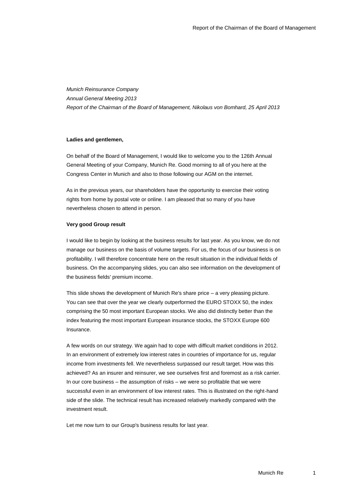*Munich Reinsurance Company Annual General Meeting 2013 Report of the Chairman of the Board of Management, Nikolaus von Bomhard, 25 April 2013*

#### **Ladies and gentlemen,**

On behalf of the Board of Management, I would like to welcome you to the 126th Annual General Meeting of your Company, Munich Re. Good morning to all of you here at the Congress Center in Munich and also to those following our AGM on the internet.

As in the previous years, our shareholders have the opportunity to exercise their voting rights from home by postal vote or online. I am pleased that so many of you have nevertheless chosen to attend in person.

#### **Very good Group result**

I would like to begin by looking at the business results for last year. As you know, we do not manage our business on the basis of volume targets. For us, the focus of our business is on profitability. I will therefore concentrate here on the result situation in the individual fields of business. On the accompanying slides, you can also see information on the development of the business fields' premium income.

This slide shows the development of Munich Re's share price – a very pleasing picture. You can see that over the year we clearly outperformed the EURO STOXX 50, the index comprising the 50 most important European stocks. We also did distinctly better than the index featuring the most important European insurance stocks, the STOXX Europe 600 Insurance.

A few words on our strategy. We again had to cope with difficult market conditions in 2012. In an environment of extremely low interest rates in countries of importance for us, regular income from investments fell. We nevertheless surpassed our result target. How was this achieved? As an insurer and reinsurer, we see ourselves first and foremost as a risk carrier. In our core business – the assumption of risks – we were so profitable that we were successful even in an environment of low interest rates. This is illustrated on the right-hand side of the slide. The technical result has increased relatively markedly compared with the investment result.

Let me now turn to our Group's business results for last year.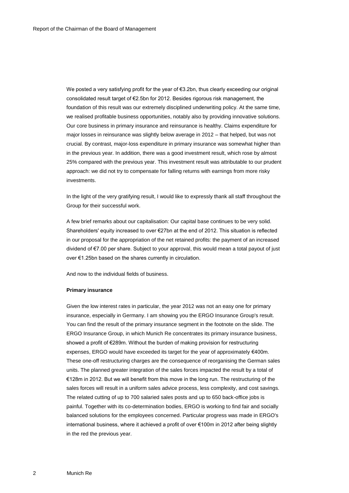We posted a very satisfying profit for the year of €3.2bn, thus clearly exceeding our original consolidated result target of €2.5bn for 2012. Besides rigorous risk management, the foundation of this result was our extremely disciplined underwriting policy. At the same time, we realised profitable business opportunities, notably also by providing innovative solutions. Our core business in primary insurance and reinsurance is healthy. Claims expenditure for major losses in reinsurance was slightly below average in 2012 – that helped, but was not crucial. By contrast, major-loss expenditure in primary insurance was somewhat higher than in the previous year. In addition, there was a good investment result, which rose by almost 25% compared with the previous year. This investment result was attributable to our prudent approach: we did not try to compensate for falling returns with earnings from more risky investments.

In the light of the very gratifying result, I would like to expressly thank all staff throughout the Group for their successful work.

A few brief remarks about our capitalisation: Our capital base continues to be very solid. Shareholders' equity increased to over €27bn at the end of 2012. This situation is reflected in our proposal for the appropriation of the net retained profits: the payment of an increased dividend of €7.00 per share. Subject to your approval, this would mean a total payout of just over €1.25bn based on the shares currently in circulation.

And now to the individual fields of business.

#### **Primary insurance**

Given the low interest rates in particular, the year 2012 was not an easy one for primary insurance, especially in Germany. I am showing you the ERGO Insurance Group's result. You can find the result of the primary insurance segment in the footnote on the slide. The ERGO Insurance Group, in which Munich Re concentrates its primary insurance business, showed a profit of €289m. Without the burden of making provision for restructuring expenses, ERGO would have exceeded its target for the year of approximately €400m. These one-off restructuring charges are the consequence of reorganising the German sales units. The planned greater integration of the sales forces impacted the result by a total of €128m in 2012. But we will benefit from this move in the long run. The restructuring of the sales forces will result in a uniform sales advice process, less complexity, and cost savings. The related cutting of up to 700 salaried sales posts and up to 650 back-office jobs is painful. Together with its co-determination bodies, ERGO is working to find fair and socially balanced solutions for the employees concerned. Particular progress was made in ERGO's international business, where it achieved a profit of over €100m in 2012 after being slightly in the red the previous year.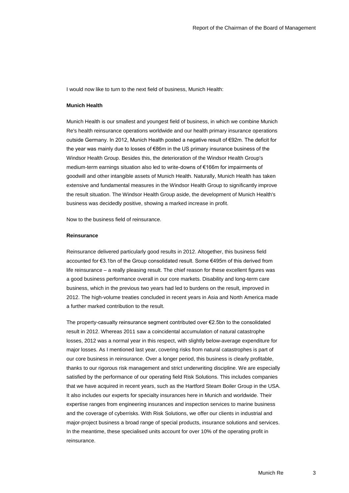I would now like to turn to the next field of business, Munich Health:

#### **Munich Health**

Munich Health is our smallest and youngest field of business, in which we combine Munich Re's health reinsurance operations worldwide and our health primary insurance operations outside Germany. In 2012, Munich Health posted a negative result of €92m. The deficit for the year was mainly due to losses of €86m in the US primary insurance business of the Windsor Health Group. Besides this, the deterioration of the Windsor Health Group's medium-term earnings situation also led to write-downs of €166m for impairments of goodwill and other intangible assets of Munich Health. Naturally, Munich Health has taken extensive and fundamental measures in the Windsor Health Group to significantly improve the result situation. The Windsor Health Group aside, the development of Munich Health's business was decidedly positive, showing a marked increase in profit.

Now to the business field of reinsurance.

#### **Reinsurance**

Reinsurance delivered particularly good results in 2012. Altogether, this business field accounted for €3.1bn of the Group consolidated result. Some €495m of this derived from life reinsurance – a really pleasing result. The chief reason for these excellent figures was a good business performance overall in our core markets. Disability and long-term care business, which in the previous two years had led to burdens on the result, improved in 2012. The high-volume treaties concluded in recent years in Asia and North America made a further marked contribution to the result.

The property-casualty reinsurance segment contributed over €2.5bn to the consolidated result in 2012. Whereas 2011 saw a coincidental accumulation of natural catastrophe losses, 2012 was a normal year in this respect, with slightly below-average expenditure for major losses. As I mentioned last year, covering risks from natural catastrophes is part of our core business in reinsurance. Over a longer period, this business is clearly profitable, thanks to our rigorous risk management and strict underwriting discipline. We are especially satisfied by the performance of our operating field Risk Solutions. This includes companies that we have acquired in recent years, such as the Hartford Steam Boiler Group in the USA. It also includes our experts for specialty insurances here in Munich and worldwide. Their expertise ranges from engineering insurances and inspection services to marine business and the coverage of cyberrisks. With Risk Solutions, we offer our clients in industrial and major-project business a broad range of special products, insurance solutions and services. In the meantime, these specialised units account for over 10% of the operating profit in reinsurance.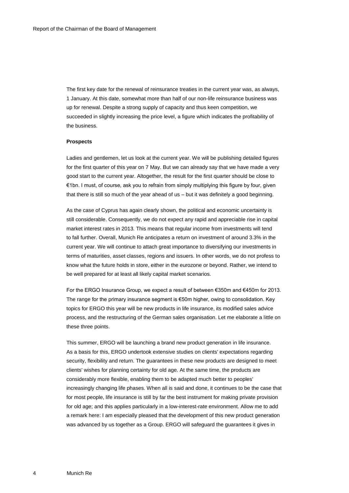The first key date for the renewal of reinsurance treaties in the current year was, as always, 1 January. At this date, somewhat more than half of our non-life reinsurance business was up for renewal. Despite a strong supply of capacity and thus keen competition, we succeeded in slightly increasing the price level, a figure which indicates the profitability of the business.

#### **Prospects**

Ladies and gentlemen, let us look at the current year. We will be publishing detailed figures for the first quarter of this year on 7 May. But we can already say that we have made a very good start to the current year. Altogether, the result for the first quarter should be close to €1bn. I must, of course, ask you to refrain from simply multiplying this figure by four, given that there is still so much of the year ahead of us – but it was definitely a good beginning.

As the case of Cyprus has again clearly shown, the political and economic uncertainty is still considerable. Consequently, we do not expect any rapid and appreciable rise in capital market interest rates in 2013. This means that regular income from investments will tend to fall further. Overall, Munich Re anticipates a return on investment of around 3.3% in the current year. We will continue to attach great importance to diversifying our investments in terms of maturities, asset classes, regions and issuers. In other words, we do not profess to know what the future holds in store, either in the eurozone or beyond. Rather, we intend to be well prepared for at least all likely capital market scenarios.

For the ERGO Insurance Group, we expect a result of between €350m and €450m for 2013. The range for the primary insurance segment is  $€50m$  higher, owing to consolidation. Key topics for ERGO this year will be new products in life insurance, its modified sales advice process, and the restructuring of the German sales organisation. Let me elaborate a little on these three points.

This summer, ERGO will be launching a brand new product generation in life insurance. As a basis for this, ERGO undertook extensive studies on clients' expectations regarding security, flexibility and return. The guarantees in these new products are designed to meet clients' wishes for planning certainty for old age. At the same time, the products are considerably more flexible, enabling them to be adapted much better to peoples' increasingly changing life phases. When all is said and done, it continues to be the case that for most people, life insurance is still by far the best instrument for making private provision for old age; and this applies particularly in a low-interest-rate environment. Allow me to add a remark here: I am especially pleased that the development of this new product generation was advanced by us together as a Group. ERGO will safeguard the guarantees it gives in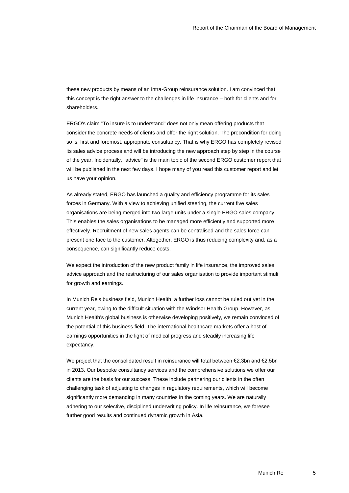these new products by means of an intra-Group reinsurance solution. I am convinced that this concept is the right answer to the challenges in life insurance – both for clients and for shareholders.

ERGO's claim "To insure is to understand" does not only mean offering products that consider the concrete needs of clients and offer the right solution. The precondition for doing so is, first and foremost, appropriate consultancy. That is why ERGO has completely revised its sales advice process and will be introducing the new approach step by step in the course of the year. Incidentally, "advice" is the main topic of the second ERGO customer report that will be published in the next few days. I hope many of you read this customer report and let us have your opinion.

As already stated, ERGO has launched a quality and efficiency programme for its sales forces in Germany. With a view to achieving unified steering, the current five sales organisations are being merged into two large units under a single ERGO sales company. This enables the sales organisations to be managed more efficiently and supported more effectively. Recruitment of new sales agents can be centralised and the sales force can present one face to the customer. Altogether, ERGO is thus reducing complexity and, as a consequence, can significantly reduce costs.

We expect the introduction of the new product family in life insurance, the improved sales advice approach and the restructuring of our sales organisation to provide important stimuli for growth and earnings.

In Munich Re's business field, Munich Health, a further loss cannot be ruled out yet in the current year, owing to the difficult situation with the Windsor Health Group. However, as Munich Health's global business is otherwise developing positively, we remain convinced of the potential of this business field. The international healthcare markets offer a host of earnings opportunities in the light of medical progress and steadily increasing life expectancy.

We project that the consolidated result in reinsurance will total between €2.3bn and €2.5bn in 2013. Our bespoke consultancy services and the comprehensive solutions we offer our clients are the basis for our success. These include partnering our clients in the often challenging task of adjusting to changes in regulatory requirements, which will become significantly more demanding in many countries in the coming years. We are naturally adhering to our selective, disciplined underwriting policy. In life reinsurance, we foresee further good results and continued dynamic growth in Asia.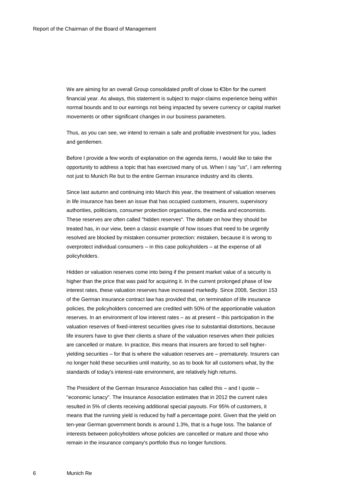We are aiming for an overall Group consolidated profit of close to €3bn for the current financial year. As always, this statement is subject to major-claims experience being within normal bounds and to our earnings not being impacted by severe currency or capital market movements or other significant changes in our business parameters.

Thus, as you can see, we intend to remain a safe and profitable investment for you, ladies and gentlemen.

Before I provide a few words of explanation on the agenda items, I would like to take the opportunity to address a topic that has exercised many of us. When I say "us", I am referring not just to Munich Re but to the entire German insurance industry and its clients.

Since last autumn and continuing into March this year, the treatment of valuation reserves in life insurance has been an issue that has occupied customers, insurers, supervisory authorities, politicians, consumer protection organisations, the media and economists. These reserves are often called "hidden reserves". The debate on how they should be treated has, in our view, been a classic example of how issues that need to be urgently resolved are blocked by mistaken consumer protection: mistaken, because it is wrong to overprotect individual consumers – in this case policyholders – at the expense of all policyholders.

Hidden or valuation reserves come into being if the present market value of a security is higher than the price that was paid for acquiring it. In the current prolonged phase of low interest rates, these valuation reserves have increased markedly. Since 2008, Section 153 of the German insurance contract law has provided that, on termination of life insurance policies, the policyholders concerned are credited with 50% of the apportionable valuation reserves. In an environment of low interest rates – as at present – this participation in the valuation reserves of fixed-interest securities gives rise to substantial distortions, because life insurers have to give their clients a share of the valuation reserves when their policies are cancelled or mature. In practice, this means that insurers are forced to sell higheryielding securities – for that is where the valuation reserves are – prematurely. Insurers can no longer hold these securities until maturity, so as to book for all customers what, by the standards of today's interest-rate environment, are relatively high returns.

The President of the German Insurance Association has called this – and I quote – "economic lunacy". The Insurance Association estimates that in 2012 the current rules resulted in 5% of clients receiving additional special payouts. For 95% of customers, it means that the running yield is reduced by half a percentage point. Given that the yield on ten-year German government bonds is around 1.3%, that is a huge loss. The balance of interests between policyholders whose policies are cancelled or mature and those who remain in the insurance company's portfolio thus no longer functions.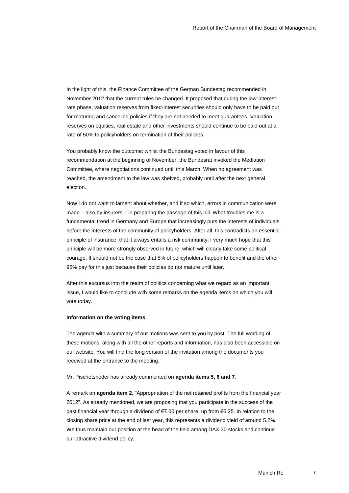In the light of this, the Finance Committee of the German Bundestag recommended in November 2012 that the current rules be changed. It proposed that during the low-interestrate phase, valuation reserves from fixed-interest securities should only have to be paid out for maturing and cancelled policies if they are not needed to meet guarantees. Valuation reserves on equities, real estate and other investments should continue to be paid out at a rate of 50% to policyholders on termination of their policies.

You probably know the outcome: whilst the Bundestag voted in favour of this recommendation at the beginning of November, the Bundesrat invoked the Mediation Committee, where negotiations continued until this March. When no agreement was reached, the amendment to the law was shelved, probably until after the next general election.

Now I do not want to lament about whether, and if so which, errors in communication were made – also by insurers – in preparing the passage of this bill. What troubles me is a fundamental trend in Germany and Europe that increasingly puts the interests of individuals before the interests of the community of policyholders. After all, this contradicts an essential principle of insurance: that it always entails a risk community. I very much hope that this principle will be more strongly observed in future, which will clearly take some political courage. It should not be the case that 5% of policyholders happen to benefit and the other 95% pay for this just because their policies do not mature until later.

After this excursus into the realm of politics concerning what we regard as an important issue, I would like to conclude with some remarks on the agenda items on which you will vote today.

#### **Information on the voting items**

The agenda with a summary of our motions was sent to you by post. The full wording of these motions, along with all the other reports and information, has also been accessible on our website. You will find the long version of the invitation among the documents you received at the entrance to the meeting.

#### Mr. Pischetsrieder has already commented on **agenda items 5, 6 and 7**.

A remark on **agenda item 2**, "Appropriation of the net retained profits from the financial year 2012". As already mentioned, we are proposing that you participate in the success of the past financial year through a dividend of €7.00 per share, up from €6.25. In relation to the closing share price at the end of last year, this represents a dividend yield of around 5.2%. We thus maintain our position at the head of the field among DAX 30 stocks and continue our attractive dividend policy.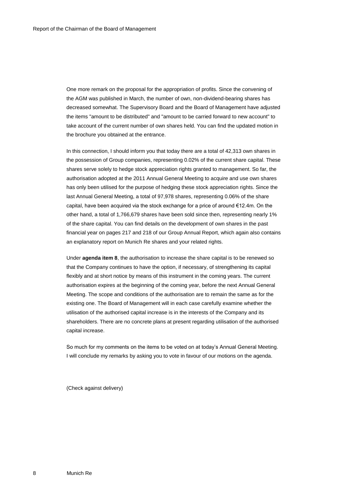One more remark on the proposal for the appropriation of profits. Since the convening of the AGM was published in March, the number of own, non-dividend-bearing shares has decreased somewhat. The Supervisory Board and the Board of Management have adjusted the items "amount to be distributed" and "amount to be carried forward to new account" to take account of the current number of own shares held. You can find the updated motion in the brochure you obtained at the entrance.

In this connection, I should inform you that today there are a total of 42,313 own shares in the possession of Group companies, representing 0.02% of the current share capital. These shares serve solely to hedge stock appreciation rights granted to management. So far, the authorisation adopted at the 2011 Annual General Meeting to acquire and use own shares has only been utilised for the purpose of hedging these stock appreciation rights. Since the last Annual General Meeting, a total of 97,978 shares, representing 0.06% of the share capital, have been acquired via the stock exchange for a price of around  $€12.4$ m. On the other hand, a total of 1,766,679 shares have been sold since then, representing nearly 1% of the share capital. You can find details on the development of own shares in the past financial year on pages 217 and 218 of our Group Annual Report, which again also contains an explanatory report on Munich Re shares and your related rights.

Under **agenda item 8**, the authorisation to increase the share capital is to be renewed so that the Company continues to have the option, if necessary, of strengthening its capital flexibly and at short notice by means of this instrument in the coming years. The current authorisation expires at the beginning of the coming year, before the next Annual General Meeting. The scope and conditions of the authorisation are to remain the same as for the existing one. The Board of Management will in each case carefully examine whether the utilisation of the authorised capital increase is in the interests of the Company and its shareholders. There are no concrete plans at present regarding utilisation of the authorised capital increase.

So much for my comments on the items to be voted on at today's Annual General Meeting. I will conclude my remarks by asking you to vote in favour of our motions on the agenda.

(Check against delivery)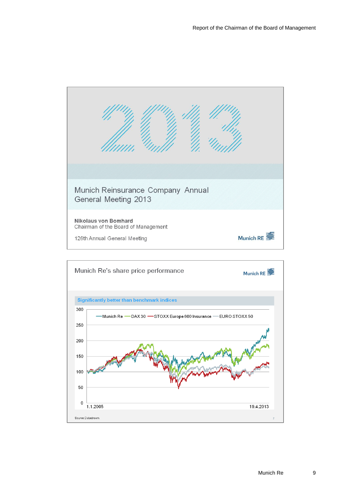

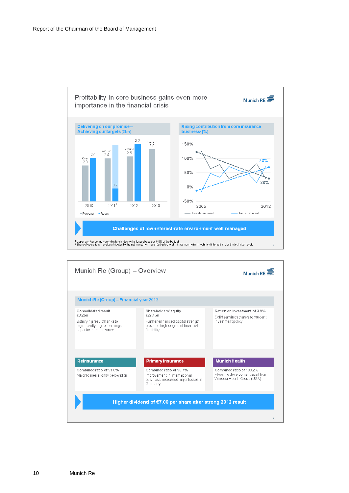

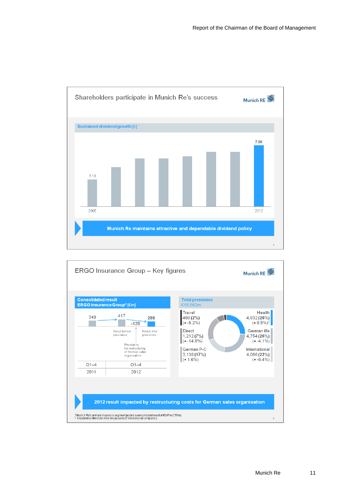

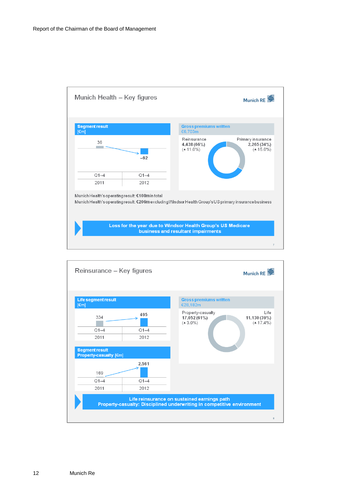

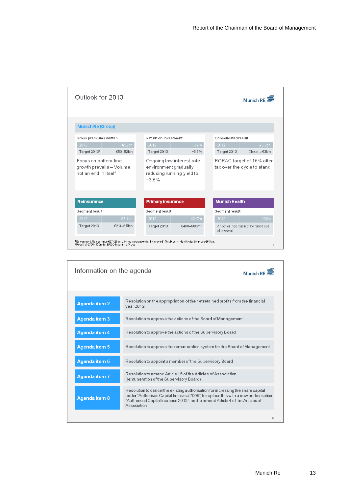| <b>Munich Re (Group)</b><br>Return on investment<br>Consolidated result<br>Gross premiums written<br>€52bn<br>3.9%<br>2012<br>2012<br>2012<br>Target 20131<br>Target 2013<br>€50-52bn<br>$-3.3\%$<br>Target 2013<br>Focus on bottom-line<br>Ongoing low-interest-rate<br>RORAC target of 15% after<br>growth prevails - Volume<br>environment gradually<br>tax over the cycle to stand<br>not an end in itself<br>reducing running yield to<br>$~2.5\%$<br><b>Munich Health</b><br><b>Reinsurance</b><br><b>Primary insurance</b><br>Segment result<br>Segment result<br>Segment result<br>2012<br>€3.1bn<br>2012<br>€247m<br>2012<br>Target 2013<br>€2.3-2.5bn<br>An other loss cannot be ruled out<br>Target 2013<br>€400-500m <sup>2</sup> | Outlook for 2013 |  |  |                         |
|-----------------------------------------------------------------------------------------------------------------------------------------------------------------------------------------------------------------------------------------------------------------------------------------------------------------------------------------------------------------------------------------------------------------------------------------------------------------------------------------------------------------------------------------------------------------------------------------------------------------------------------------------------------------------------------------------------------------------------------------------|------------------|--|--|-------------------------|
|                                                                                                                                                                                                                                                                                                                                                                                                                                                                                                                                                                                                                                                                                                                                               |                  |  |  |                         |
|                                                                                                                                                                                                                                                                                                                                                                                                                                                                                                                                                                                                                                                                                                                                               |                  |  |  | €3.2bn<br>Close to €3bn |
|                                                                                                                                                                                                                                                                                                                                                                                                                                                                                                                                                                                                                                                                                                                                               |                  |  |  |                         |
|                                                                                                                                                                                                                                                                                                                                                                                                                                                                                                                                                                                                                                                                                                                                               |                  |  |  |                         |
|                                                                                                                                                                                                                                                                                                                                                                                                                                                                                                                                                                                                                                                                                                                                               |                  |  |  |                         |
|                                                                                                                                                                                                                                                                                                                                                                                                                                                                                                                                                                                                                                                                                                                                               |                  |  |  | $-692m$                 |
| at present                                                                                                                                                                                                                                                                                                                                                                                                                                                                                                                                                                                                                                                                                                                                    |                  |  |  |                         |

| Information on the agenda |                                                                                                                                                                                                                                                                        | Munich RE |
|---------------------------|------------------------------------------------------------------------------------------------------------------------------------------------------------------------------------------------------------------------------------------------------------------------|-----------|
| <b>Agenda item 2</b>      | Resolution on the appropriation of the net retained profits from the financial<br>year 2012                                                                                                                                                                            |           |
| <b>Agenda item 3</b>      | Resolution to approve the actions of the Board of Management                                                                                                                                                                                                           |           |
| Agenda item 4             | Resolution to approve the actions of the Supervisory Board                                                                                                                                                                                                             |           |
| <b>Agenda item 5</b>      | Resolution to approve the remuneration system for the Board of Management                                                                                                                                                                                              |           |
| Agenda item 6             | Resolution to appoint a member of the Supervisory Board                                                                                                                                                                                                                |           |
| Agenda item 7             | Resolution to amend Article 15 of the Articles of Association<br>(remuneration of the Supervisory Board)                                                                                                                                                               |           |
| <b>Agenda item 8</b>      | Resolution to cancel the existing authorisation for increasing the share capital<br>under "Authorised Capital Increase 2009", to replace this with a new authorisation<br>"Authorised Capital Increase 2013", and to amend Article 4 of the Articles of<br>Association |           |
|                           |                                                                                                                                                                                                                                                                        | 10        |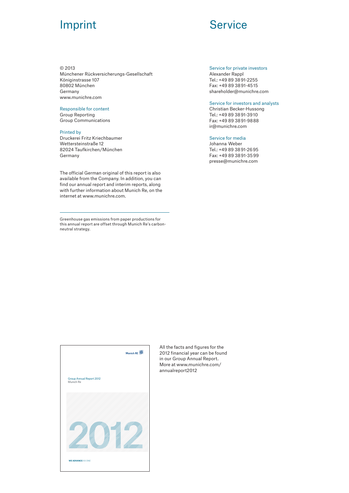## **Imprint Service**

#### © 2013

Münchener Rückversicherungs-Gesellschaft Königinstrasse 107 80802 München Germany www.munichre.com

#### Responsible for content

Group Reporting Group Communications

### Printed by

Druckerei Fritz Kriechbaumer Wettersteinstraße 12 82024 Taufkirchen/München Germany

The official German original of this report is also available from the Company. In addition, you can find our annual report and interim reports, along with further information about Munich Re, on the internet at www.munichre.com.

Greenhouse gas emissions from paper productions for this annual report are offset through Munich Re's carbonneutral strategy.

#### Service for private investors

Alexander Rappl Tel.: +49 89 38 91-2255 Fax: +49 89 38 91-45 15 shareholder@munichre.com

#### Service for investors and analysts

Christian Becker-Hussong Tel.: +49 89 38 91-39 10 Fax: +49 89 38 91-98 88 ir@munichre.com

#### Service for media

Johanna  Weber Tel.: +49 89 38 91-26 95 Fax: +49 89 38 91-35 99 presse@munichre.com



All the facts and figures for the 2012 financial year can be found in our Group Annual Report. More at www.munichre.com/ annualreport2012